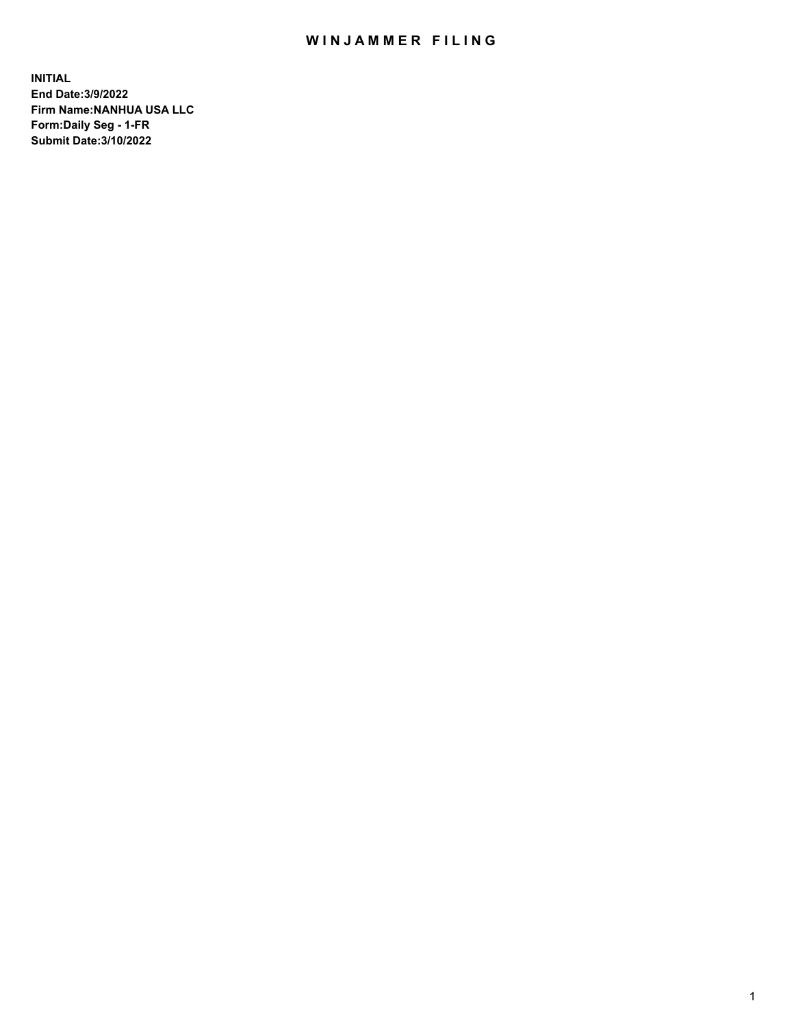## WIN JAMMER FILING

**INITIAL End Date:3/9/2022 Firm Name:NANHUA USA LLC Form:Daily Seg - 1-FR Submit Date:3/10/2022**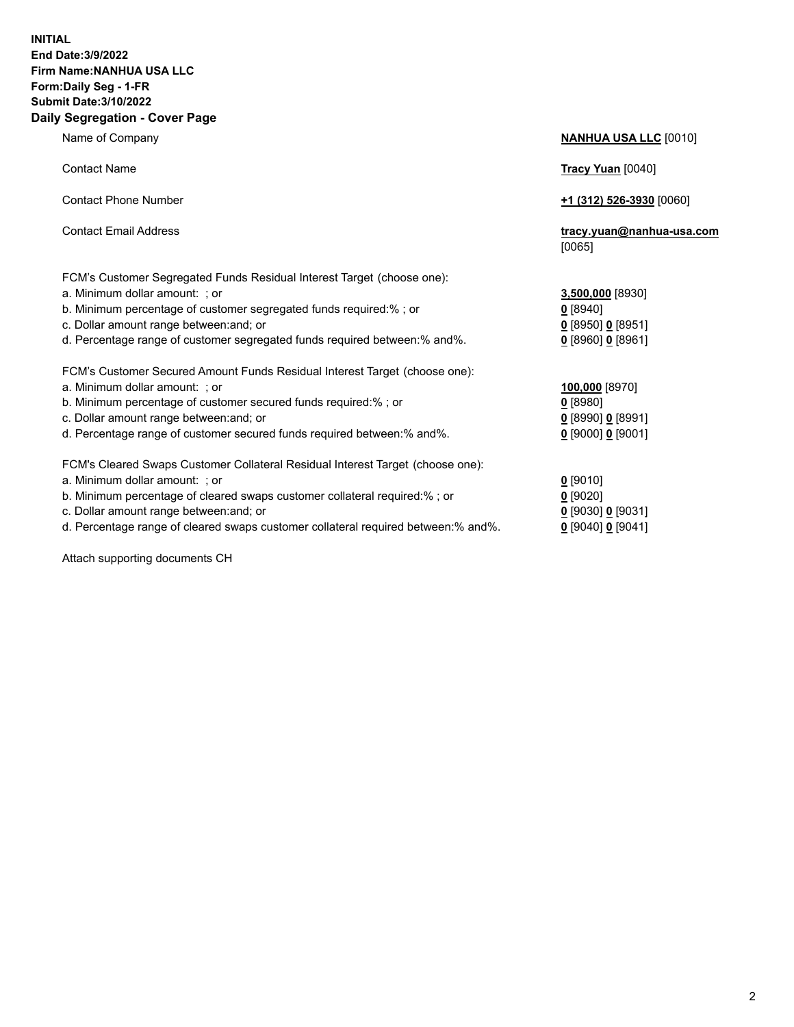## **INITIAL End Date:3/9/2022 Firm Name:NANHUA USA LLC Form:Daily Seg - 1-FR Submit Date:3/10/2022 Daily Segregation - Cover Page**

Name of Company **NANHUA USA LLC** [0010] Contact Name **Tracy Yuan** [0040] Contact Phone Number **+1 (312) 526-3930** [0060] Contact Email Address **tracy.yuan@nanhua-usa.com** [0065] FCM's Customer Segregated Funds Residual Interest Target (choose one): a. Minimum dollar amount: ; or **3,500,000** [8930] b. Minimum percentage of customer segregated funds required:% ; or **0** [8940] c. Dollar amount range between:and; or **0** [8950] **0** [8951] d. Percentage range of customer segregated funds required between:% and%. **0** [8960] **0** [8961] FCM's Customer Secured Amount Funds Residual Interest Target (choose one): a. Minimum dollar amount: ; or **100,000** [8970] b. Minimum percentage of customer secured funds required:% ; or **0** [8980] c. Dollar amount range between:and; or **0** [8990] **0** [8991] d. Percentage range of customer secured funds required between:% and%. **0** [9000] **0** [9001] FCM's Cleared Swaps Customer Collateral Residual Interest Target (choose one): a. Minimum dollar amount: ; or **0** [9010] b. Minimum percentage of cleared swaps customer collateral required:% ; or **0** [9020] c. Dollar amount range between:and; or **0** [9030] **0** [9031]

d. Percentage range of cleared swaps customer collateral required between:% and%. **0** [9040] **0** [9041]

Attach supporting documents CH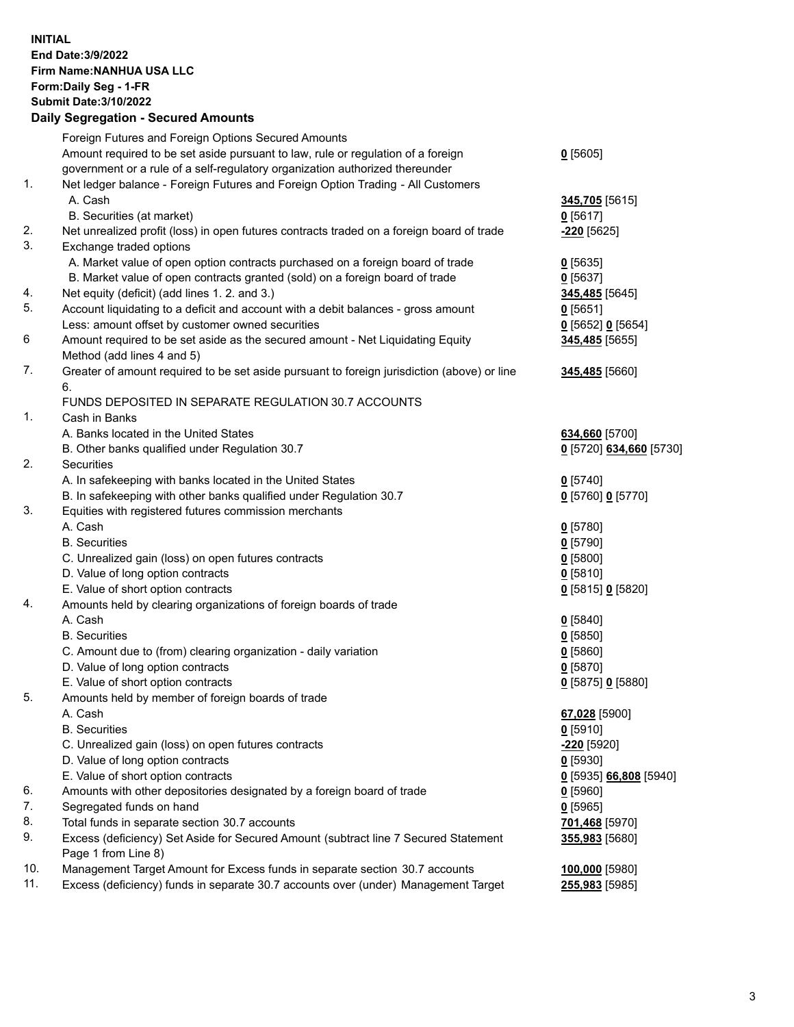## **INITIAL End Date:3/9/2022 Firm Name:NANHUA USA LLC Form:Daily Seg - 1-FR Submit Date:3/10/2022 Daily Segregation - Secured Amounts**

|     | Foreign Futures and Foreign Options Secured Amounts                                         |                         |
|-----|---------------------------------------------------------------------------------------------|-------------------------|
|     | Amount required to be set aside pursuant to law, rule or regulation of a foreign            | $0$ [5605]              |
|     | government or a rule of a self-regulatory organization authorized thereunder                |                         |
| 1.  | Net ledger balance - Foreign Futures and Foreign Option Trading - All Customers             |                         |
|     | A. Cash                                                                                     | 345,705 [5615]          |
|     | B. Securities (at market)                                                                   | $0$ [5617]              |
| 2.  | Net unrealized profit (loss) in open futures contracts traded on a foreign board of trade   | -220 [5625]             |
| 3.  | Exchange traded options                                                                     |                         |
|     | A. Market value of open option contracts purchased on a foreign board of trade              | $0$ [5635]              |
|     | B. Market value of open contracts granted (sold) on a foreign board of trade                | $0$ [5637]              |
| 4.  | Net equity (deficit) (add lines 1. 2. and 3.)                                               | 345,485 [5645]          |
| 5.  | Account liquidating to a deficit and account with a debit balances - gross amount           | $0$ [5651]              |
|     | Less: amount offset by customer owned securities                                            | $0$ [5652] $0$ [5654]   |
| 6   | Amount required to be set aside as the secured amount - Net Liquidating Equity              | 345,485 [5655]          |
|     | Method (add lines 4 and 5)                                                                  |                         |
| 7.  | Greater of amount required to be set aside pursuant to foreign jurisdiction (above) or line | 345,485 [5660]          |
|     | 6.                                                                                          |                         |
|     | FUNDS DEPOSITED IN SEPARATE REGULATION 30.7 ACCOUNTS                                        |                         |
| 1.  | Cash in Banks                                                                               |                         |
|     | A. Banks located in the United States                                                       | 634,660 [5700]          |
|     | B. Other banks qualified under Regulation 30.7                                              | 0 [5720] 634,660 [5730] |
| 2.  | Securities                                                                                  |                         |
|     | A. In safekeeping with banks located in the United States                                   | $0$ [5740]              |
|     | B. In safekeeping with other banks qualified under Regulation 30.7                          | 0 [5760] 0 [5770]       |
| 3.  | Equities with registered futures commission merchants                                       |                         |
|     | A. Cash                                                                                     | $0$ [5780]              |
|     | <b>B.</b> Securities                                                                        | $0$ [5790]              |
|     | C. Unrealized gain (loss) on open futures contracts                                         | $0$ [5800]              |
|     | D. Value of long option contracts                                                           | $0$ [5810]              |
|     | E. Value of short option contracts                                                          | 0 [5815] 0 [5820]       |
| 4.  | Amounts held by clearing organizations of foreign boards of trade                           |                         |
|     | A. Cash                                                                                     | $0$ [5840]              |
|     | <b>B.</b> Securities                                                                        | $0$ [5850]              |
|     | C. Amount due to (from) clearing organization - daily variation                             | $0$ [5860]              |
|     | D. Value of long option contracts                                                           | $0$ [5870]              |
|     | E. Value of short option contracts                                                          | 0 [5875] 0 [5880]       |
| 5.  | Amounts held by member of foreign boards of trade                                           |                         |
|     | A. Cash                                                                                     | 67,028 [5900]           |
|     | <b>B.</b> Securities                                                                        | $0$ [5910]              |
|     | C. Unrealized gain (loss) on open futures contracts                                         | $-220$ [5920]           |
|     | D. Value of long option contracts                                                           | $0$ [5930]              |
|     | E. Value of short option contracts                                                          | 0 [5935] 66,808 [5940]  |
| 6.  | Amounts with other depositories designated by a foreign board of trade                      | $0$ [5960]              |
| 7.  | Segregated funds on hand                                                                    | $0$ [5965]              |
| 8.  | Total funds in separate section 30.7 accounts                                               | 701,468 [5970]          |
| 9.  | Excess (deficiency) Set Aside for Secured Amount (subtract line 7 Secured Statement         | 355,983 [5680]          |
|     | Page 1 from Line 8)                                                                         |                         |
| 10. | Management Target Amount for Excess funds in separate section 30.7 accounts                 | 100,000 [5980]          |
| 11. | Excess (deficiency) funds in separate 30.7 accounts over (under) Management Target          | 255,983 [5985]          |
|     |                                                                                             |                         |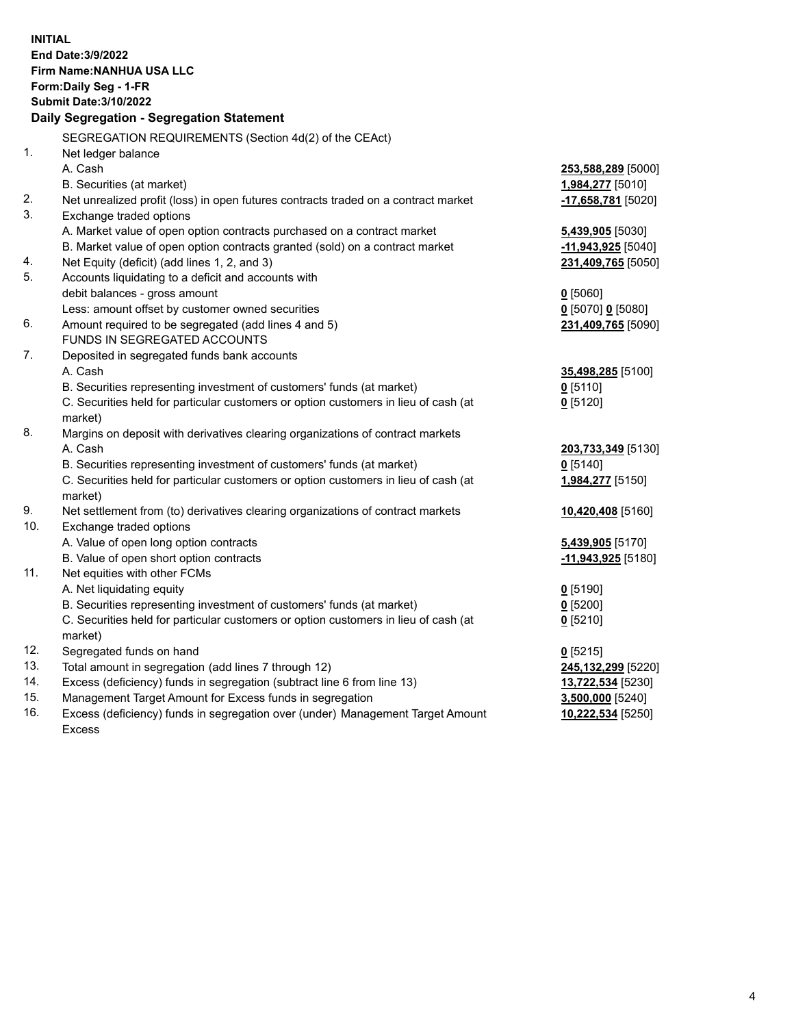| <b>INITIAL</b> | End Date: 3/9/2022<br>Firm Name: NANHUA USA LLC<br>Form: Daily Seg - 1-FR<br><b>Submit Date: 3/10/2022</b><br>Daily Segregation - Segregation Statement |                         |
|----------------|---------------------------------------------------------------------------------------------------------------------------------------------------------|-------------------------|
|                | SEGREGATION REQUIREMENTS (Section 4d(2) of the CEAct)                                                                                                   |                         |
| 1.             | Net ledger balance                                                                                                                                      |                         |
|                | A. Cash                                                                                                                                                 | 253,588,289 [5000]      |
|                | B. Securities (at market)                                                                                                                               | 1,984,277 [5010]        |
| 2.             | Net unrealized profit (loss) in open futures contracts traded on a contract market                                                                      | -17,658,781 [5020]      |
| 3.             | Exchange traded options                                                                                                                                 |                         |
|                | A. Market value of open option contracts purchased on a contract market                                                                                 | <b>5,439,905</b> [5030] |
|                | B. Market value of open option contracts granted (sold) on a contract market                                                                            | $-11,943,925$ [5040]    |
| 4.             | Net Equity (deficit) (add lines 1, 2, and 3)                                                                                                            | 231,409,765 [5050]      |
| 5.             | Accounts liquidating to a deficit and accounts with                                                                                                     |                         |
|                | debit balances - gross amount                                                                                                                           | $0$ [5060]              |
|                | Less: amount offset by customer owned securities                                                                                                        | $0$ [5070] 0 [5080]     |
| 6.             | Amount required to be segregated (add lines 4 and 5)                                                                                                    | 231,409,765 [5090]      |
|                | FUNDS IN SEGREGATED ACCOUNTS                                                                                                                            |                         |
| 7.             | Deposited in segregated funds bank accounts                                                                                                             |                         |
|                | A. Cash                                                                                                                                                 | 35,498,285 [5100]       |
|                | B. Securities representing investment of customers' funds (at market)                                                                                   | $0$ [5110]              |
|                | C. Securities held for particular customers or option customers in lieu of cash (at                                                                     | $0$ [5120]              |
|                | market)                                                                                                                                                 |                         |
| 8.             | Margins on deposit with derivatives clearing organizations of contract markets                                                                          |                         |
|                | A. Cash                                                                                                                                                 | 203,733,349 [5130]      |
|                | B. Securities representing investment of customers' funds (at market)                                                                                   | $0$ [5140]              |
|                | C. Securities held for particular customers or option customers in lieu of cash (at                                                                     | 1,984,277 [5150]        |
| 9.             | market)<br>Net settlement from (to) derivatives clearing organizations of contract markets                                                              | 10,420,408 [5160]       |
| 10.            | Exchange traded options                                                                                                                                 |                         |
|                | A. Value of open long option contracts                                                                                                                  | 5,439,905 [5170]        |
|                | B. Value of open short option contracts                                                                                                                 | -11,943,925 [5180]      |
| 11.            | Net equities with other FCMs                                                                                                                            |                         |
|                | A. Net liquidating equity                                                                                                                               | 0 [5190]                |
|                | B. Securities representing investment of customers' funds (at market)                                                                                   | 0 [5200]                |
|                | C. Securities held for particular customers or option customers in lieu of cash (at                                                                     | $0$ [5210]              |
|                | market)                                                                                                                                                 |                         |
| 12.            | Segregated funds on hand                                                                                                                                | $0$ [5215]              |
| 13.            | Total amount in segregation (add lines 7 through 12)                                                                                                    | 245,132,299 [5220]      |
| 14.            | Excess (deficiency) funds in segregation (subtract line 6 from line 13)                                                                                 | 13,722,534 [5230]       |
| 15.            | Management Target Amount for Excess funds in segregation                                                                                                | 3,500,000 [5240]        |
| 16.            | Excess (deficiency) funds in segregation over (under) Management Target Amount                                                                          | 10,222,534 [5250]       |
|                | <b>Excess</b>                                                                                                                                           |                         |